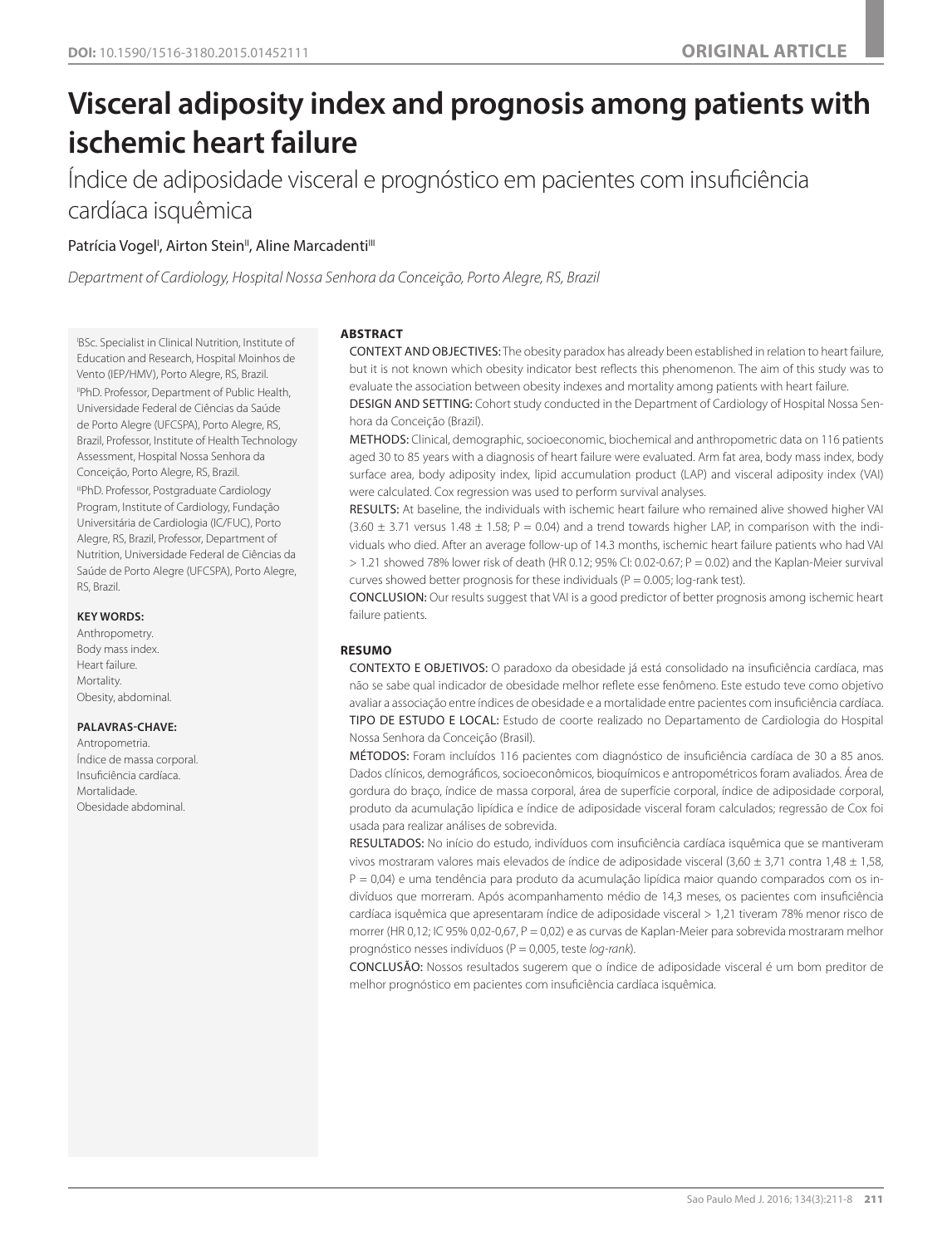# **Visceral adiposity index and prognosis among patients with ischemic heart failure**

Índice de adiposidade visceral e prognóstico em pacientes com insuficiência cardíaca isquêmica

# Patrícia Vogel<sup>i</sup>, Airton Stein", Aline Marcadenti'''

*Department of Cardiology, Hospital Nossa Senhora da Conceição, Porto Alegre, RS, Brazil*

I BSc. Specialist in Clinical Nutrition, Institute of Education and Research, Hospital Moinhos de Vento (IEP/HMV), Porto Alegre, RS, Brazil. IIPhD. Professor, Department of Public Health, Universidade Federal de Ciências da Saúde de Porto Alegre (UFCSPA), Porto Alegre, RS, Brazil, Professor, Institute of Health Technology Assessment, Hospital Nossa Senhora da Conceição, Porto Alegre, RS, Brazil. IIIPhD. Professor, Postgraduate Cardiology Program, Institute of Cardiology, Fundação Universitária de Cardiologia (IC/FUC), Porto Alegre, RS, Brazil, Professor, Department of Nutrition, Universidade Federal de Ciências da Saúde de Porto Alegre (UFCSPA), Porto Alegre, RS, Brazil.

## **KEY WORDS:**

Anthropometry. Body mass index. Heart failure. **Mortality** Obesity, abdominal.

# **PALAVRAS-CHAVE:**

Antropometria. Índice de massa corporal. Insuficiência cardíaca. Mortalidade. Obesidade abdominal.

# **ABSTRACT**

CONTEXT AND OBJECTIVES: The obesity paradox has already been established in relation to heart failure, but it is not known which obesity indicator best reflects this phenomenon. The aim of this study was to evaluate the association between obesity indexes and mortality among patients with heart failure.

DESIGN AND SETTING: Cohort study conducted in the Department of Cardiology of Hospital Nossa Senhora da Conceição (Brazil).

METHODS: Clinical, demographic, socioeconomic, biochemical and anthropometric data on 116 patients aged 30 to 85 years with a diagnosis of heart failure were evaluated. Arm fat area, body mass index, body surface area, body adiposity index, lipid accumulation product (LAP) and visceral adiposity index (VAI) were calculated. Cox regression was used to perform survival analyses.

RESULTS: At baseline, the individuals with ischemic heart failure who remained alive showed higher VAI  $(3.60 \pm 3.71$  versus  $1.48 \pm 1.58$ ; P = 0.04) and a trend towards higher LAP, in comparison with the individuals who died. After an average follow-up of 14.3 months, ischemic heart failure patients who had VAI  $> 1.21$  showed 78% lower risk of death (HR 0.12; 95% CI: 0.02-0.67; P = 0.02) and the Kaplan-Meier survival curves showed better prognosis for these individuals ( $P = 0.005$ ; log-rank test).

CONCLUSION: Our results suggest that VAI is a good predictor of better prognosis among ischemic heart failure patients.

## **RESUMO**

CONTEXTO E OBJETIVOS: O paradoxo da obesidade já está consolidado na insuficiência cardíaca, mas não se sabe qual indicador de obesidade melhor reflete esse fenômeno. Este estudo teve como objetivo avaliar a associação entre índices de obesidade e a mortalidade entre pacientes com insuficiência cardíaca. TIPO DE ESTUDO E LOCAL: Estudo de coorte realizado no Departamento de Cardiologia do Hospital Nossa Senhora da Conceição (Brasil).

MÉTODOS: Foram incluídos 116 pacientes com diagnóstico de insuficiência cardíaca de 30 a 85 anos. Dados clínicos, demográficos, socioeconômicos, bioquímicos e antropométricos foram avaliados. Área de gordura do braço, índice de massa corporal, área de superfície corporal, índice de adiposidade corporal, produto da acumulação lipídica e índice de adiposidade visceral foram calculados; regressão de Cox foi usada para realizar análises de sobrevida.

RESULTADOS: No início do estudo, indivíduos com insuficiência cardíaca isquêmica que se mantiveram vivos mostraram valores mais elevados de índice de adiposidade visceral (3,60  $\pm$  3,71 contra 1,48  $\pm$  1,58,  $P = 0.04$ ) e uma tendência para produto da acumulação lipídica maior quando comparados com os indivíduos que morreram. Após acompanhamento médio de 14,3 meses, os pacientes com insuficiência cardíaca isquêmica que apresentaram índice de adiposidade visceral > 1,21 tiveram 78% menor risco de morrer (HR 0,12; IC 95% 0,02-0,67, P = 0,02) e as curvas de Kaplan-Meier para sobrevida mostraram melhor prognóstico nesses indivíduos (P = 0,005, teste *log-rank*).

CONCLUSÃO: Nossos resultados sugerem que o índice de adiposidade visceral é um bom preditor de melhor prognóstico em pacientes com insuficiência cardíaca isquêmica.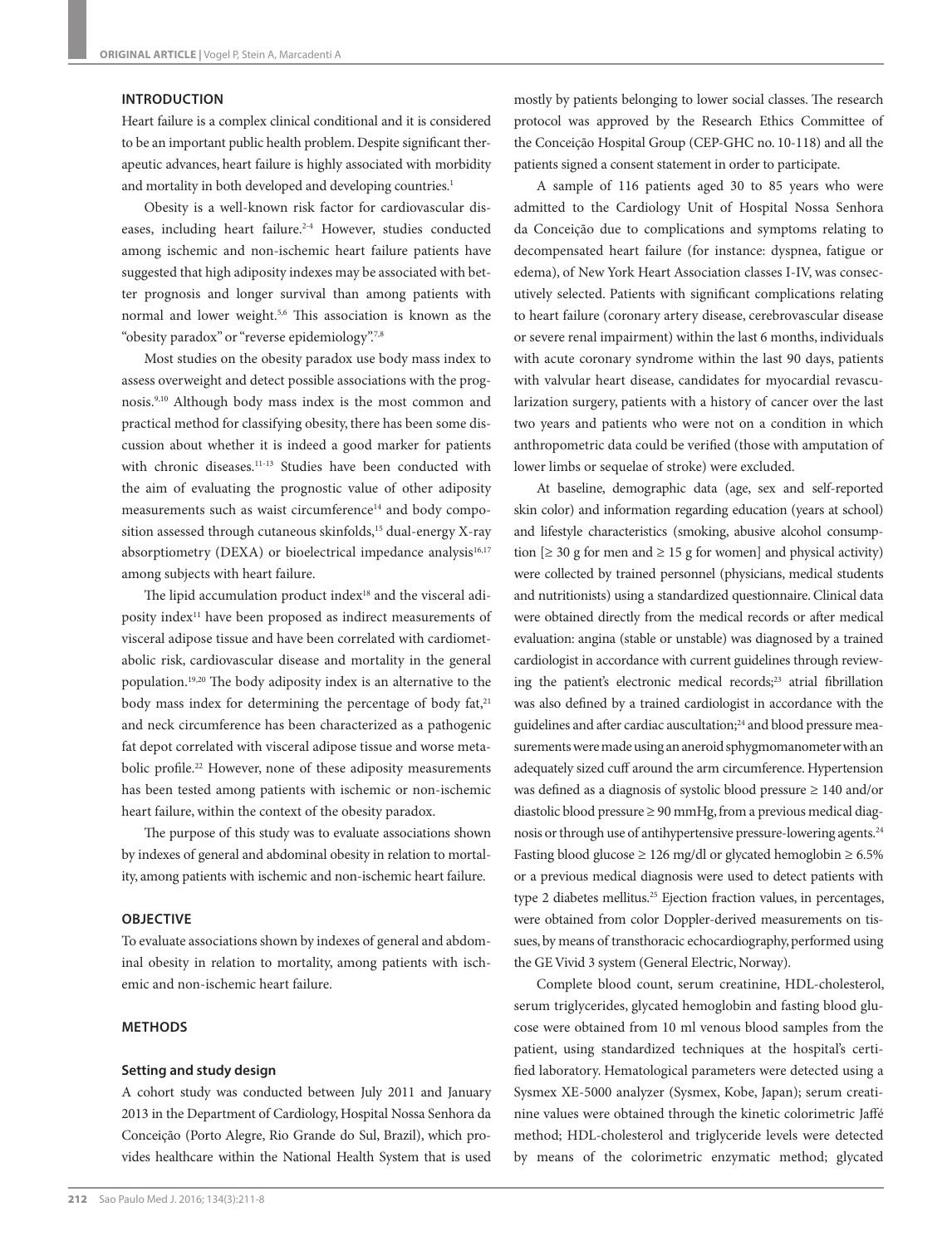#### **INTRODUCTION**

Heart failure is a complex clinical conditional and it is considered to be an important public health problem. Despite significant therapeutic advances, heart failure is highly associated with morbidity and mortality in both developed and developing countries.<sup>1</sup>

Obesity is a well-known risk factor for cardiovascular diseases, including heart failure.<sup>2-4</sup> However, studies conducted among ischemic and non-ischemic heart failure patients have suggested that high adiposity indexes may be associated with better prognosis and longer survival than among patients with normal and lower weight.5,6 This association is known as the "obesity paradox" or "reverse epidemiology".7,8

Most studies on the obesity paradox use body mass index to assess overweight and detect possible associations with the prognosis.9,10 Although body mass index is the most common and practical method for classifying obesity, there has been some discussion about whether it is indeed a good marker for patients with chronic diseases.<sup>11-13</sup> Studies have been conducted with the aim of evaluating the prognostic value of other adiposity measurements such as waist circumference<sup>14</sup> and body composition assessed through cutaneous skinfolds,<sup>15</sup> dual-energy X-ray absorptiometry (DEXA) or bioelectrical impedance analysis<sup>16,17</sup> among subjects with heart failure.

The lipid accumulation product index<sup>18</sup> and the visceral adiposity index11 have been proposed as indirect measurements of visceral adipose tissue and have been correlated with cardiometabolic risk, cardiovascular disease and mortality in the general population.19,20 The body adiposity index is an alternative to the body mass index for determining the percentage of body fat,<sup>21</sup> and neck circumference has been characterized as a pathogenic fat depot correlated with visceral adipose tissue and worse metabolic profile.<sup>22</sup> However, none of these adiposity measurements has been tested among patients with ischemic or non-ischemic heart failure, within the context of the obesity paradox.

The purpose of this study was to evaluate associations shown by indexes of general and abdominal obesity in relation to mortality, among patients with ischemic and non-ischemic heart failure.

## **OBJECTIVE**

To evaluate associations shown by indexes of general and abdominal obesity in relation to mortality, among patients with ischemic and non-ischemic heart failure.

# **METHODS**

#### **Setting and study design**

A cohort study was conducted between July 2011 and January 2013 in the Department of Cardiology, Hospital Nossa Senhora da Conceição (Porto Alegre, Rio Grande do Sul, Brazil), which provides healthcare within the National Health System that is used

mostly by patients belonging to lower social classes. The research protocol was approved by the Research Ethics Committee of the Conceição Hospital Group (CEP-GHC no. 10-118) and all the patients signed a consent statement in order to participate.

A sample of 116 patients aged 30 to 85 years who were admitted to the Cardiology Unit of Hospital Nossa Senhora da Conceição due to complications and symptoms relating to decompensated heart failure (for instance: dyspnea, fatigue or edema), of New York Heart Association classes I-IV, was consecutively selected. Patients with significant complications relating to heart failure (coronary artery disease, cerebrovascular disease or severe renal impairment) within the last 6 months, individuals with acute coronary syndrome within the last 90 days, patients with valvular heart disease, candidates for myocardial revascularization surgery, patients with a history of cancer over the last two years and patients who were not on a condition in which anthropometric data could be verified (those with amputation of lower limbs or sequelae of stroke) were excluded.

At baseline, demographic data (age, sex and self-reported skin color) and information regarding education (years at school) and lifestyle characteristics (smoking, abusive alcohol consumption  $[\geq 30$  g for men and  $\geq 15$  g for women] and physical activity) were collected by trained personnel (physicians, medical students and nutritionists) using a standardized questionnaire. Clinical data were obtained directly from the medical records or after medical evaluation: angina (stable or unstable) was diagnosed by a trained cardiologist in accordance with current guidelines through reviewing the patient's electronic medical records;<sup>23</sup> atrial fibrillation was also defined by a trained cardiologist in accordance with the guidelines and after cardiac auscultation;<sup>24</sup> and blood pressure measurements were made using an aneroid sphygmomanometer with an adequately sized cuff around the arm circumference. Hypertension was defined as a diagnosis of systolic blood pressure ≥ 140 and/or diastolic blood pressure ≥ 90 mmHg, from a previous medical diagnosis or through use of antihypertensive pressure-lowering agents.24 Fasting blood glucose  $\geq 126$  mg/dl or glycated hemoglobin  $\geq 6.5\%$ or a previous medical diagnosis were used to detect patients with type 2 diabetes mellitus.<sup>25</sup> Ejection fraction values, in percentages, were obtained from color Doppler-derived measurements on tissues, by means of transthoracic echocardiography, performed using the GE Vivid 3 system (General Electric, Norway).

Complete blood count, serum creatinine, HDL-cholesterol, serum triglycerides, glycated hemoglobin and fasting blood glucose were obtained from 10 ml venous blood samples from the patient, using standardized techniques at the hospital's certified laboratory. Hematological parameters were detected using a Sysmex XE-5000 analyzer (Sysmex, Kobe, Japan); serum creatinine values were obtained through the kinetic colorimetric Jaffé method; HDL-cholesterol and triglyceride levels were detected by means of the colorimetric enzymatic method; glycated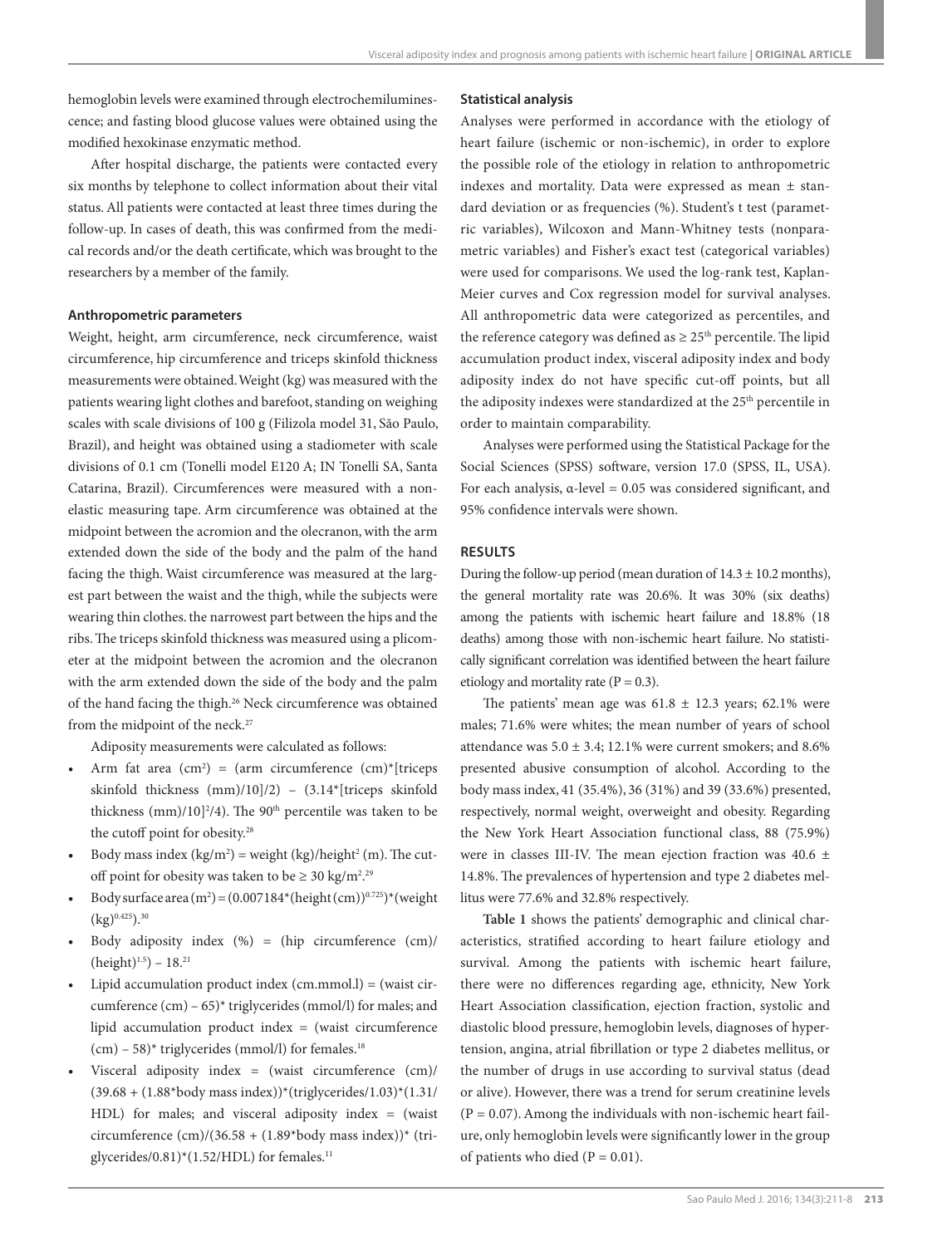hemoglobin levels were examined through electrochemiluminescence; and fasting blood glucose values were obtained using the modified hexokinase enzymatic method.

After hospital discharge, the patients were contacted every six months by telephone to collect information about their vital status. All patients were contacted at least three times during the follow-up. In cases of death, this was confirmed from the medical records and/or the death certificate, which was brought to the researchers by a member of the family.

#### **Anthropometric parameters**

Weight, height, arm circumference, neck circumference, waist circumference, hip circumference and triceps skinfold thickness measurements were obtained. Weight (kg) was measured with the patients wearing light clothes and barefoot, standing on weighing scales with scale divisions of 100 g (Filizola model 31, São Paulo, Brazil), and height was obtained using a stadiometer with scale divisions of 0.1 cm (Tonelli model E120 A; IN Tonelli SA, Santa Catarina, Brazil). Circumferences were measured with a nonelastic measuring tape. Arm circumference was obtained at the midpoint between the acromion and the olecranon, with the arm extended down the side of the body and the palm of the hand facing the thigh. Waist circumference was measured at the largest part between the waist and the thigh, while the subjects were wearing thin clothes. the narrowest part between the hips and the ribs. The triceps skinfold thickness was measured using a plicometer at the midpoint between the acromion and the olecranon with the arm extended down the side of the body and the palm of the hand facing the thigh.26 Neck circumference was obtained from the midpoint of the neck.<sup>27</sup>

Adiposity measurements were calculated as follows:

- Arm fat area  $(cm^2) = (arm circumference (cm)^*[trices])$ skinfold thickness (mm)/10]/2) – (3.14\*[triceps skinfold thickness  $\text{(mm)}$ /10]<sup>2</sup>/4). The 90<sup>th</sup> percentile was taken to be the cutoff point for obesity.<sup>28</sup>
- Body mass index  $(kg/m^2)$  = weight  $(kg)/height^2$  (m). The cutoff point for obesity was taken to be  $\geq 30 \text{ kg/m}^2$ .<sup>29</sup>
- Body surface area  $(m^2) = (0.007184^{\ast}(\text{height}(cm))^{0.725})^{\ast}(\text{weight}$  $(kg)^{0.425}$ ).<sup>30</sup>
- Body adiposity index (%) = (hip circumference (cm)/  $(height)^{1.5}$ ) – 18.<sup>21</sup>
- Lipid accumulation product index  $(cm.mmol.1) = (waist cir$ cumference (cm) – 65)\* triglycerides (mmol/l) for males; and lipid accumulation product index = (waist circumference  $(cm) - 58$ <sup>\*</sup> triglycerides (mmol/l) for females.<sup>18</sup>
- Visceral adiposity index = (waist circumference (cm)/  $(39.68 + (1.88*body mass index)) * (triglycerides/1.03) * (1.31/$ HDL) for males; and visceral adiposity index = (waist circumference (cm)/(36.58 + (1.89\*body mass index))\* (triglycerides/0.81)\*(1.52/HDL) for females. $11$

#### **Statistical analysis**

Analyses were performed in accordance with the etiology of heart failure (ischemic or non-ischemic), in order to explore the possible role of the etiology in relation to anthropometric indexes and mortality. Data were expressed as mean  $\pm$  standard deviation or as frequencies (%). Student's t test (parametric variables), Wilcoxon and Mann-Whitney tests (nonparametric variables) and Fisher's exact test (categorical variables) were used for comparisons. We used the log-rank test, Kaplan-Meier curves and Cox regression model for survival analyses. All anthropometric data were categorized as percentiles, and the reference category was defined as  $\geq 25$ <sup>th</sup> percentile. The lipid accumulation product index, visceral adiposity index and body adiposity index do not have specific cut-off points, but all the adiposity indexes were standardized at the 25<sup>th</sup> percentile in order to maintain comparability.

Analyses were performed using the Statistical Package for the Social Sciences (SPSS) software, version 17.0 (SPSS, IL, USA). For each analysis,  $\alpha$ -level = 0.05 was considered significant, and 95% confidence intervals were shown.

# **RESULTS**

During the follow-up period (mean duration of  $14.3 \pm 10.2$  months), the general mortality rate was 20.6%. It was 30% (six deaths) among the patients with ischemic heart failure and 18.8% (18 deaths) among those with non-ischemic heart failure. No statistically significant correlation was identified between the heart failure etiology and mortality rate ( $P = 0.3$ ).

The patients' mean age was  $61.8 \pm 12.3$  years; 62.1% were males; 71.6% were whites; the mean number of years of school attendance was  $5.0 \pm 3.4$ ; 12.1% were current smokers; and  $8.6\%$ presented abusive consumption of alcohol. According to the body mass index, 41 (35.4%), 36 (31%) and 39 (33.6%) presented, respectively, normal weight, overweight and obesity. Regarding the New York Heart Association functional class, 88 (75.9%) were in classes III-IV. The mean ejection fraction was 40.6 ± 14.8%. The prevalences of hypertension and type 2 diabetes mellitus were 77.6% and 32.8% respectively.

**Table 1** shows the patients' demographic and clinical characteristics, stratified according to heart failure etiology and survival. Among the patients with ischemic heart failure, there were no differences regarding age, ethnicity, New York Heart Association classification, ejection fraction, systolic and diastolic blood pressure, hemoglobin levels, diagnoses of hypertension, angina, atrial fibrillation or type 2 diabetes mellitus, or the number of drugs in use according to survival status (dead or alive). However, there was a trend for serum creatinine levels  $(P = 0.07)$ . Among the individuals with non-ischemic heart failure, only hemoglobin levels were significantly lower in the group of patients who died ( $P = 0.01$ ).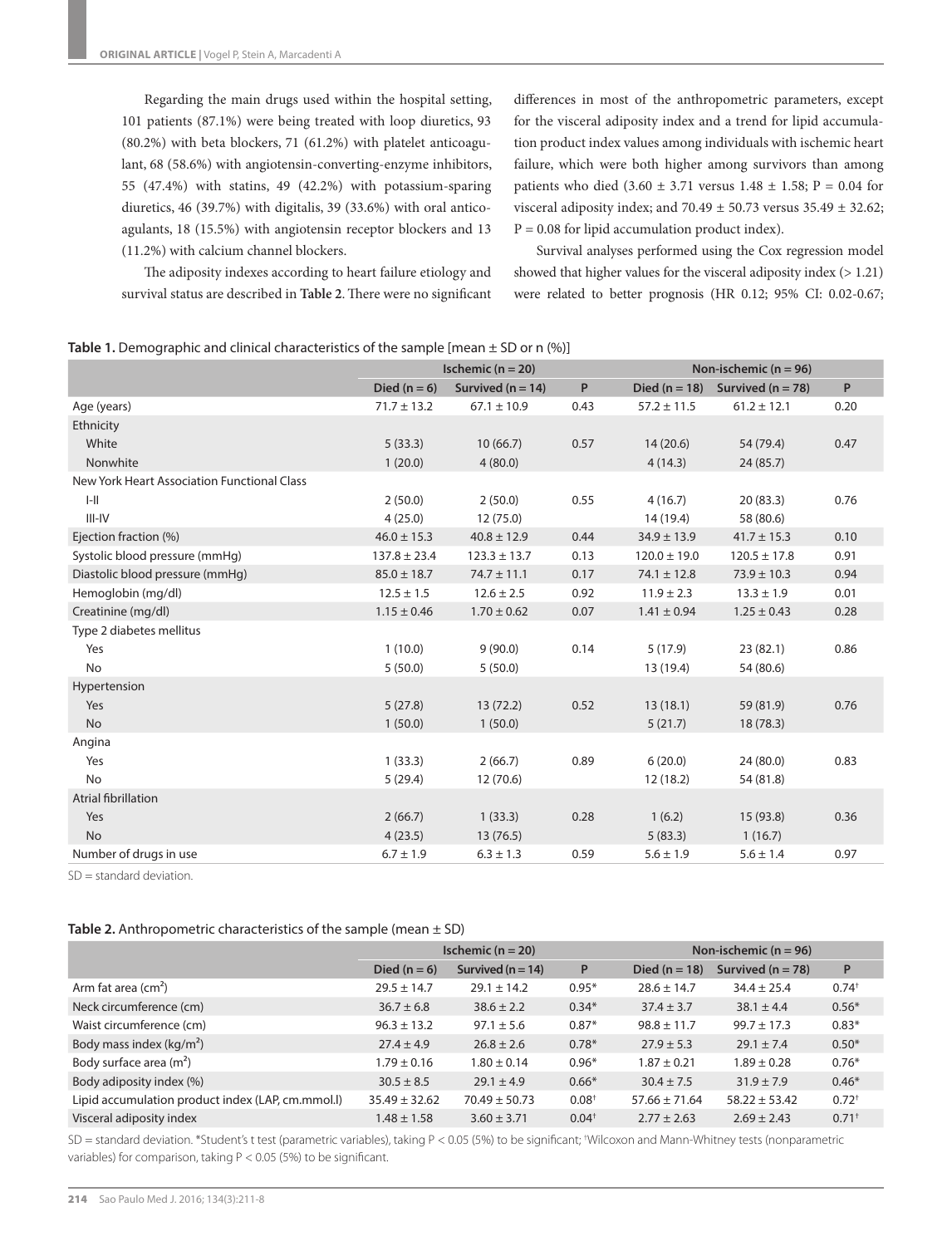Regarding the main drugs used within the hospital setting, 101 patients (87.1%) were being treated with loop diuretics, 93 (80.2%) with beta blockers, 71 (61.2%) with platelet anticoagulant, 68 (58.6%) with angiotensin-converting-enzyme inhibitors, 55 (47.4%) with statins, 49 (42.2%) with potassium-sparing diuretics, 46 (39.7%) with digitalis, 39 (33.6%) with oral anticoagulants, 18 (15.5%) with angiotensin receptor blockers and 13 (11.2%) with calcium channel blockers.

differences in most of the anthropometric parameters, except for the visceral adiposity index and a trend for lipid accumulation product index values among individuals with ischemic heart failure, which were both higher among survivors than among patients who died (3.60  $\pm$  3.71 versus 1.48  $\pm$  1.58; P = 0.04 for visceral adiposity index; and 70.49  $\pm$  50.73 versus 35.49  $\pm$  32.62;  $P = 0.08$  for lipid accumulation product index).

The adiposity indexes according to heart failure etiology and survival status are described in **Table 2**. There were no significant

Survival analyses performed using the Cox regression model showed that higher values for the visceral adiposity index (> 1.21) were related to better prognosis (HR 0.12; 95% CI: 0.02-0.67;

|  | Table 1. Demographic and clinical characteristics of the sample [mean $\pm$ SD or n (%)] |  |
|--|------------------------------------------------------------------------------------------|--|
|  |                                                                                          |  |

|                                             | Ischemic ( $n = 20$ ) |                       |      |                   | Non-ischemic ( $n = 96$ ) |      |  |
|---------------------------------------------|-----------------------|-----------------------|------|-------------------|---------------------------|------|--|
|                                             | Died ( $n = 6$ )      | Survived ( $n = 14$ ) | P    | Died ( $n = 18$ ) | Survived ( $n = 78$ )     | P    |  |
| Age (years)                                 | $71.7 \pm 13.2$       | $67.1 \pm 10.9$       | 0.43 | $57.2 \pm 11.5$   | $61.2 \pm 12.1$           | 0.20 |  |
| Ethnicity                                   |                       |                       |      |                   |                           |      |  |
| White                                       | 5(33.3)               | 10(66.7)              | 0.57 | 14(20.6)          | 54 (79.4)                 | 0.47 |  |
| Nonwhite                                    | 1(20.0)               | 4(80.0)               |      | 4(14.3)           | 24(85.7)                  |      |  |
| New York Heart Association Functional Class |                       |                       |      |                   |                           |      |  |
| $I-II$                                      | 2(50.0)               | 2(50.0)               | 0.55 | 4(16.7)           | 20(83.3)                  | 0.76 |  |
| $III - IV$                                  | 4(25.0)               | 12 (75.0)             |      | 14 (19.4)         | 58 (80.6)                 |      |  |
| Ejection fraction (%)                       | $46.0 \pm 15.3$       | $40.8 \pm 12.9$       | 0.44 | $34.9 \pm 13.9$   | $41.7 \pm 15.3$           | 0.10 |  |
| Systolic blood pressure (mmHg)              | $137.8 \pm 23.4$      | $123.3 \pm 13.7$      | 0.13 | $120.0 \pm 19.0$  | $120.5 \pm 17.8$          | 0.91 |  |
| Diastolic blood pressure (mmHg)             | $85.0 \pm 18.7$       | $74.7 \pm 11.1$       | 0.17 | $74.1 \pm 12.8$   | $73.9 \pm 10.3$           | 0.94 |  |
| Hemoglobin (mg/dl)                          | $12.5 \pm 1.5$        | $12.6 \pm 2.5$        | 0.92 | $11.9 \pm 2.3$    | $13.3 \pm 1.9$            | 0.01 |  |
| Creatinine (mg/dl)                          | $1.15 \pm 0.46$       | $1.70 \pm 0.62$       | 0.07 | $1.41 \pm 0.94$   | $1.25 \pm 0.43$           | 0.28 |  |
| Type 2 diabetes mellitus                    |                       |                       |      |                   |                           |      |  |
| Yes                                         | 1(10.0)               | 9(90.0)               | 0.14 | 5(17.9)           | 23(82.1)                  | 0.86 |  |
| No                                          | 5(50.0)               | 5(50.0)               |      | 13 (19.4)         | 54 (80.6)                 |      |  |
| Hypertension                                |                       |                       |      |                   |                           |      |  |
| Yes                                         | 5(27.8)               | 13(72.2)              | 0.52 | 13(18.1)          | 59 (81.9)                 | 0.76 |  |
| <b>No</b>                                   | 1(50.0)               | 1(50.0)               |      | 5(21.7)           | 18(78.3)                  |      |  |
| Angina                                      |                       |                       |      |                   |                           |      |  |
| Yes                                         | 1(33.3)               | 2(66.7)               | 0.89 | 6(20.0)           | 24 (80.0)                 | 0.83 |  |
| <b>No</b>                                   | 5(29.4)               | 12 (70.6)             |      | 12(18.2)          | 54 (81.8)                 |      |  |
| <b>Atrial fibrillation</b>                  |                       |                       |      |                   |                           |      |  |
| Yes                                         | 2(66.7)               | 1(33.3)               | 0.28 | 1(6.2)            | 15 (93.8)                 | 0.36 |  |
| <b>No</b>                                   | 4(23.5)               | 13(76.5)              |      | 5(83.3)           | 1(16.7)                   |      |  |
| Number of drugs in use                      | $6.7 \pm 1.9$         | $6.3 \pm 1.3$         | 0.59 | $5.6 \pm 1.9$     | $5.6 \pm 1.4$             | 0.97 |  |

SD = standard deviation.

## **Table 2.** Anthropometric characteristics of the sample (mean ± SD)

|                                                  | Ischemic $(n = 20)$ |                       |                   | Non-ischemic $(n = 96)$ |                       |                     |
|--------------------------------------------------|---------------------|-----------------------|-------------------|-------------------------|-----------------------|---------------------|
|                                                  | Died $(n = 6)$      | Survived ( $n = 14$ ) | P                 | Died $(n = 18)$         | Survived ( $n = 78$ ) | P                   |
| Arm fat area $(cm2)$                             | $29.5 \pm 14.7$     | $29.1 \pm 14.2$       | $0.95*$           | $28.6 \pm 14.7$         | $34.4 \pm 25.4$       | $0.74^{+}$          |
| Neck circumference (cm)                          | $36.7 \pm 6.8$      | $38.6 \pm 2.2$        | $0.34*$           | $37.4 \pm 3.7$          | $38.1 \pm 4.4$        | $0.56*$             |
| Waist circumference (cm)                         | $96.3 \pm 13.2$     | $97.1 \pm 5.6$        | $0.87*$           | $98.8 \pm 11.7$         | $99.7 \pm 17.3$       | $0.83*$             |
| Body mass index $(kq/m^2)$                       | $27.4 \pm 4.9$      | $26.8 \pm 2.6$        | $0.78*$           | $27.9 \pm 5.3$          | $29.1 \pm 7.4$        | $0.50*$             |
| Body surface area $(m2)$                         | $1.79 \pm 0.16$     | $1.80 \pm 0.14$       | $0.96*$           | $1.87 \pm 0.21$         | $1.89 \pm 0.28$       | $0.76*$             |
| Body adiposity index (%)                         | $30.5 \pm 8.5$      | $29.1 \pm 4.9$        | $0.66*$           | $30.4 \pm 7.5$          | $31.9 \pm 7.9$        | $0.46*$             |
| Lipid accumulation product index (LAP, cm.mmol.) | $35.49 \pm 32.62$   | $70.49 \pm 50.73$     | 0.08 <sup>†</sup> | $57.66 \pm 71.64$       | $58.22 \pm 53.42$     | $0.72^{+}$          |
| Visceral adiposity index                         | $1.48 \pm 1.58$     | $3.60 \pm 3.71$       | $0.04^+$          | $2.77 \pm 2.63$         | $2.69 \pm 2.43$       | $0.71$ <sup>+</sup> |

SD = standard deviation. \*Student's t test (parametric variables), taking P < 0.05 (5%) to be significant; † Wilcoxon and Mann-Whitney tests (nonparametric variables) for comparison, taking P < 0.05 (5%) to be significant.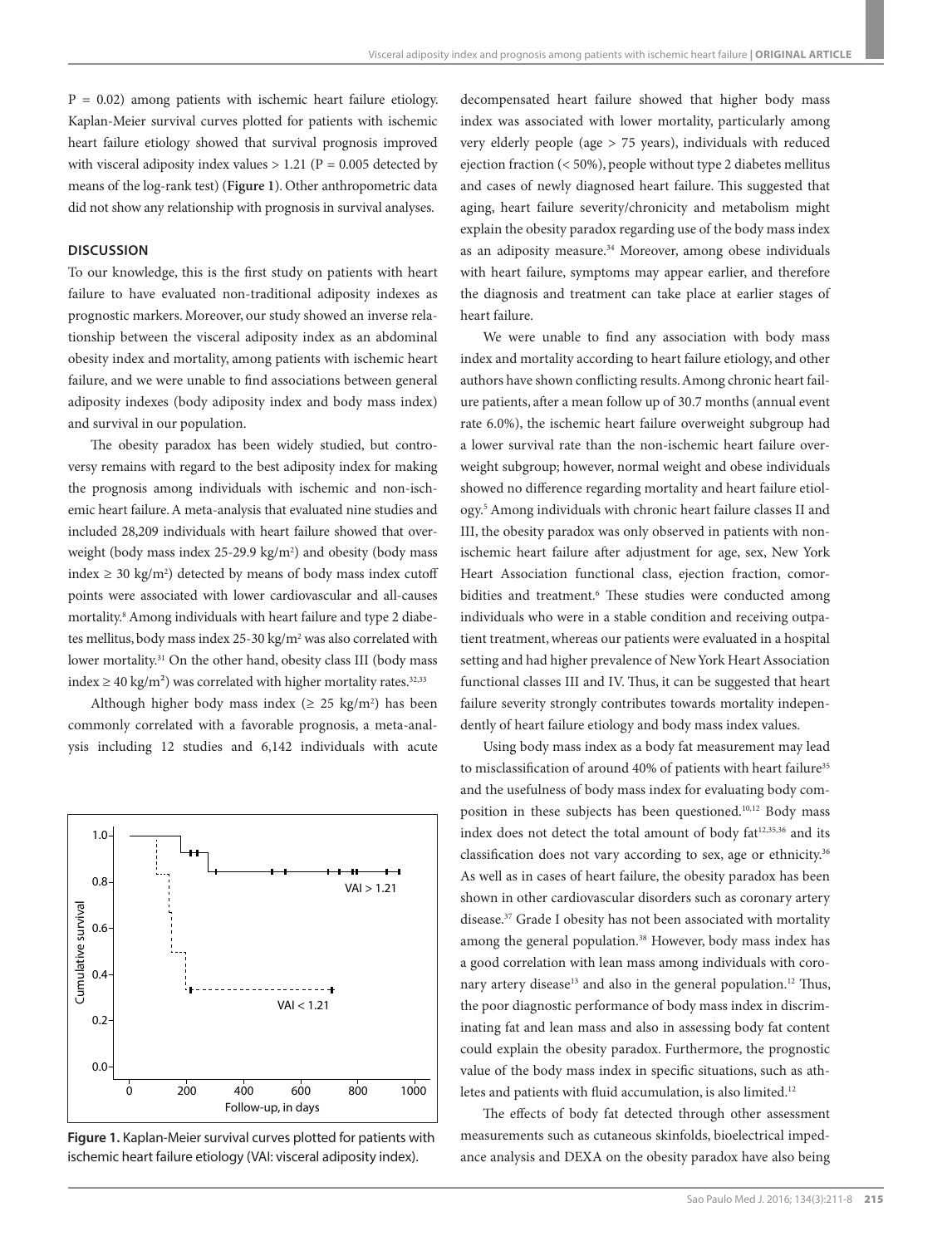$P = 0.02$ ) among patients with ischemic heart failure etiology. Kaplan-Meier survival curves plotted for patients with ischemic heart failure etiology showed that survival prognosis improved with visceral adiposity index values  $> 1.21$  (P = 0.005 detected by means of the log-rank test) (**Figure 1**). Other anthropometric data did not show any relationship with prognosis in survival analyses.

# **DISCUSSION**

To our knowledge, this is the first study on patients with heart failure to have evaluated non-traditional adiposity indexes as prognostic markers. Moreover, our study showed an inverse relationship between the visceral adiposity index as an abdominal obesity index and mortality, among patients with ischemic heart failure, and we were unable to find associations between general adiposity indexes (body adiposity index and body mass index) and survival in our population.

The obesity paradox has been widely studied, but controversy remains with regard to the best adiposity index for making the prognosis among individuals with ischemic and non-ischemic heart failure. A meta-analysis that evaluated nine studies and included 28,209 individuals with heart failure showed that overweight (body mass index 25-29.9 kg/m<sup>2</sup>) and obesity (body mass index ≥ 30 kg/m<sup>2</sup>) detected by means of body mass index cutoff points were associated with lower cardiovascular and all-causes mortality.8 Among individuals with heart failure and type 2 diabetes mellitus, body mass index 25-30 kg/m<sup>2</sup> was also correlated with lower mortality.<sup>31</sup> On the other hand, obesity class III (body mass index ≥ 40 kg/m<sup>2</sup>) was correlated with higher mortality rates.<sup>32,33</sup>

Although higher body mass index ( $\geq 25$  kg/m<sup>2</sup>) has been commonly correlated with a favorable prognosis, a meta-analysis including 12 studies and 6,142 individuals with acute



**Figure 1.** Kaplan-Meier survival curves plotted for patients with ischemic heart failure etiology (VAI: visceral adiposity index).

decompensated heart failure showed that higher body mass index was associated with lower mortality, particularly among very elderly people (age > 75 years), individuals with reduced ejection fraction (< 50%), people without type 2 diabetes mellitus and cases of newly diagnosed heart failure. This suggested that aging, heart failure severity/chronicity and metabolism might explain the obesity paradox regarding use of the body mass index as an adiposity measure.<sup>34</sup> Moreover, among obese individuals with heart failure, symptoms may appear earlier, and therefore the diagnosis and treatment can take place at earlier stages of heart failure.

We were unable to find any association with body mass index and mortality according to heart failure etiology, and other authors have shown conflicting results. Among chronic heart failure patients, after a mean follow up of 30.7 months (annual event rate 6.0%), the ischemic heart failure overweight subgroup had a lower survival rate than the non-ischemic heart failure overweight subgroup; however, normal weight and obese individuals showed no difference regarding mortality and heart failure etiology.5 Among individuals with chronic heart failure classes II and III, the obesity paradox was only observed in patients with nonischemic heart failure after adjustment for age, sex, New York Heart Association functional class, ejection fraction, comorbidities and treatment.<sup>6</sup> These studies were conducted among individuals who were in a stable condition and receiving outpatient treatment, whereas our patients were evaluated in a hospital setting and had higher prevalence of New York Heart Association functional classes III and IV. Thus, it can be suggested that heart failure severity strongly contributes towards mortality independently of heart failure etiology and body mass index values.

Using body mass index as a body fat measurement may lead to misclassification of around 40% of patients with heart failure<sup>35</sup> and the usefulness of body mass index for evaluating body composition in these subjects has been questioned.10,12 Body mass index does not detect the total amount of body fat<sup>12,35,36</sup> and its classification does not vary according to sex, age or ethnicity.<sup>36</sup> As well as in cases of heart failure, the obesity paradox has been shown in other cardiovascular disorders such as coronary artery disease.37 Grade I obesity has not been associated with mortality among the general population.<sup>38</sup> However, body mass index has a good correlation with lean mass among individuals with coronary artery disease<sup>13</sup> and also in the general population.<sup>12</sup> Thus, the poor diagnostic performance of body mass index in discriminating fat and lean mass and also in assessing body fat content could explain the obesity paradox. Furthermore, the prognostic value of the body mass index in specific situations, such as athletes and patients with fluid accumulation, is also limited.<sup>12</sup>

The effects of body fat detected through other assessment measurements such as cutaneous skinfolds, bioelectrical impedance analysis and DEXA on the obesity paradox have also being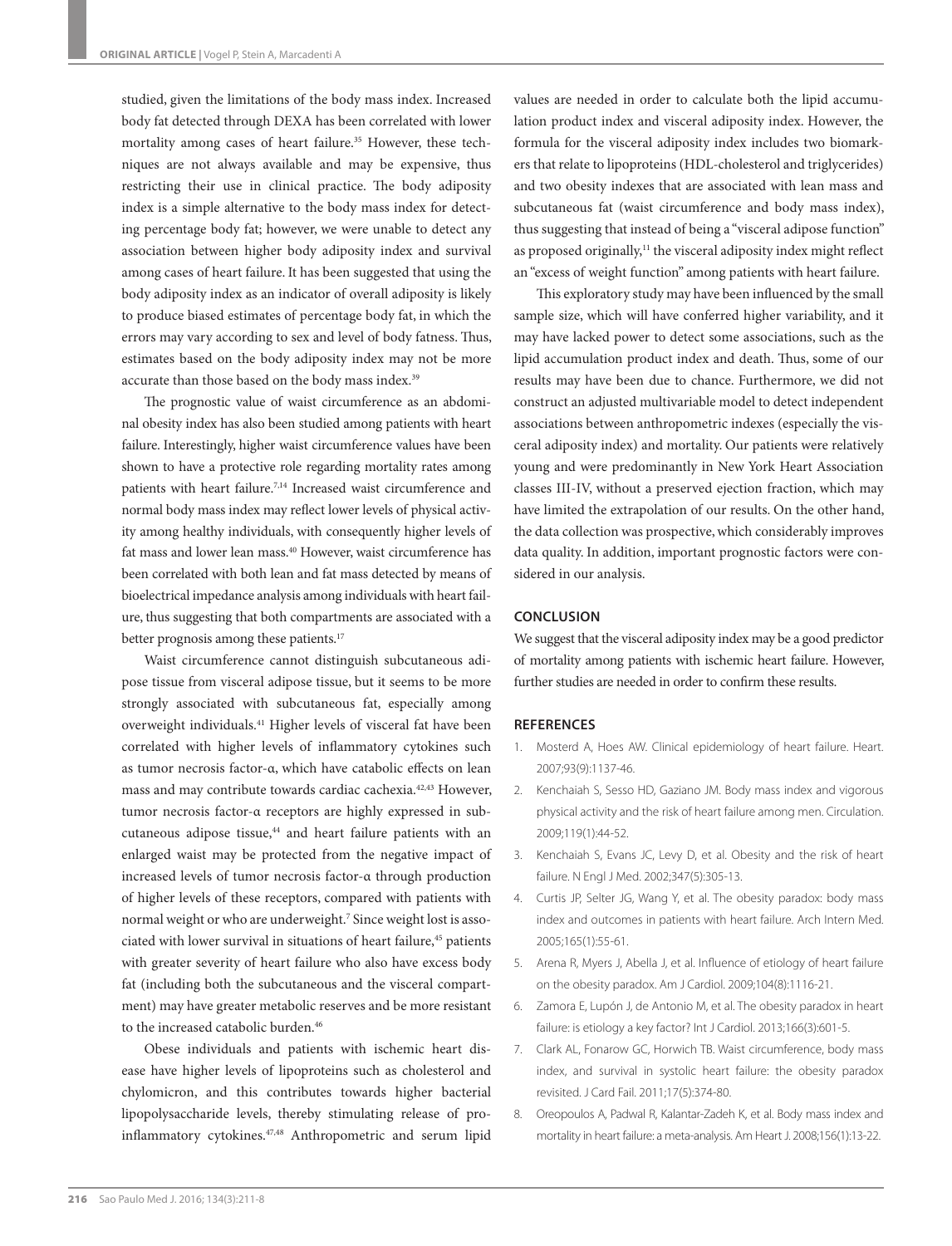studied, given the limitations of the body mass index. Increased body fat detected through DEXA has been correlated with lower mortality among cases of heart failure.<sup>35</sup> However, these techniques are not always available and may be expensive, thus restricting their use in clinical practice. The body adiposity index is a simple alternative to the body mass index for detecting percentage body fat; however, we were unable to detect any association between higher body adiposity index and survival among cases of heart failure. It has been suggested that using the body adiposity index as an indicator of overall adiposity is likely to produce biased estimates of percentage body fat, in which the errors may vary according to sex and level of body fatness. Thus, estimates based on the body adiposity index may not be more accurate than those based on the body mass index.<sup>39</sup>

The prognostic value of waist circumference as an abdominal obesity index has also been studied among patients with heart failure. Interestingly, higher waist circumference values have been shown to have a protective role regarding mortality rates among patients with heart failure.7,14 Increased waist circumference and normal body mass index may reflect lower levels of physical activity among healthy individuals, with consequently higher levels of fat mass and lower lean mass.40 However, waist circumference has been correlated with both lean and fat mass detected by means of bioelectrical impedance analysis among individuals with heart failure, thus suggesting that both compartments are associated with a better prognosis among these patients.<sup>17</sup>

Waist circumference cannot distinguish subcutaneous adipose tissue from visceral adipose tissue, but it seems to be more strongly associated with subcutaneous fat, especially among overweight individuals.41 Higher levels of visceral fat have been correlated with higher levels of inflammatory cytokines such as tumor necrosis factor-α, which have catabolic effects on lean mass and may contribute towards cardiac cachexia.42,43 However, tumor necrosis factor-α receptors are highly expressed in subcutaneous adipose tissue,<sup>44</sup> and heart failure patients with an enlarged waist may be protected from the negative impact of increased levels of tumor necrosis factor-α through production of higher levels of these receptors, compared with patients with normal weight or who are underweight.7 Since weight lost is associated with lower survival in situations of heart failure,<sup>45</sup> patients with greater severity of heart failure who also have excess body fat (including both the subcutaneous and the visceral compartment) may have greater metabolic reserves and be more resistant to the increased catabolic burden.<sup>46</sup>

Obese individuals and patients with ischemic heart disease have higher levels of lipoproteins such as cholesterol and chylomicron, and this contributes towards higher bacterial lipopolysaccharide levels, thereby stimulating release of proinflammatory cytokines.<sup>47,48</sup> Anthropometric and serum lipid values are needed in order to calculate both the lipid accumulation product index and visceral adiposity index. However, the formula for the visceral adiposity index includes two biomarkers that relate to lipoproteins (HDL-cholesterol and triglycerides) and two obesity indexes that are associated with lean mass and subcutaneous fat (waist circumference and body mass index), thus suggesting that instead of being a "visceral adipose function" as proposed originally,<sup>11</sup> the visceral adiposity index might reflect an "excess of weight function" among patients with heart failure.

This exploratory study may have been influenced by the small sample size, which will have conferred higher variability, and it may have lacked power to detect some associations, such as the lipid accumulation product index and death. Thus, some of our results may have been due to chance. Furthermore, we did not construct an adjusted multivariable model to detect independent associations between anthropometric indexes (especially the visceral adiposity index) and mortality. Our patients were relatively young and were predominantly in New York Heart Association classes III-IV, without a preserved ejection fraction, which may have limited the extrapolation of our results. On the other hand, the data collection was prospective, which considerably improves data quality. In addition, important prognostic factors were considered in our analysis.

## **CONCLUSION**

We suggest that the visceral adiposity index may be a good predictor of mortality among patients with ischemic heart failure. However, further studies are needed in order to confirm these results.

# **REFERENCES**

- 1. Mosterd A, Hoes AW. Clinical epidemiology of heart failure. Heart. 2007;93(9):1137-46.
- 2. Kenchaiah S, Sesso HD, Gaziano JM. Body mass index and vigorous physical activity and the risk of heart failure among men. Circulation. 2009;119(1):44-52.
- 3. Kenchaiah S, Evans JC, Levy D, et al. Obesity and the risk of heart failure. N Engl J Med. 2002;347(5):305-13.
- 4. Curtis JP, Selter JG, Wang Y, et al. The obesity paradox: body mass index and outcomes in patients with heart failure. Arch Intern Med. 2005;165(1):55-61.
- 5. Arena R, Myers J, Abella J, et al. Influence of etiology of heart failure on the obesity paradox. Am J Cardiol. 2009;104(8):1116-21.
- 6. Zamora E, Lupón J, de Antonio M, et al. The obesity paradox in heart failure: is etiology a key factor? Int J Cardiol. 2013;166(3):601-5.
- 7. Clark AL, Fonarow GC, Horwich TB. Waist circumference, body mass index, and survival in systolic heart failure: the obesity paradox revisited. J Card Fail. 2011;17(5):374-80.
- 8. Oreopoulos A, Padwal R, Kalantar-Zadeh K, et al. Body mass index and mortality in heart failure: a meta-analysis. Am Heart J. 2008;156(1):13-22.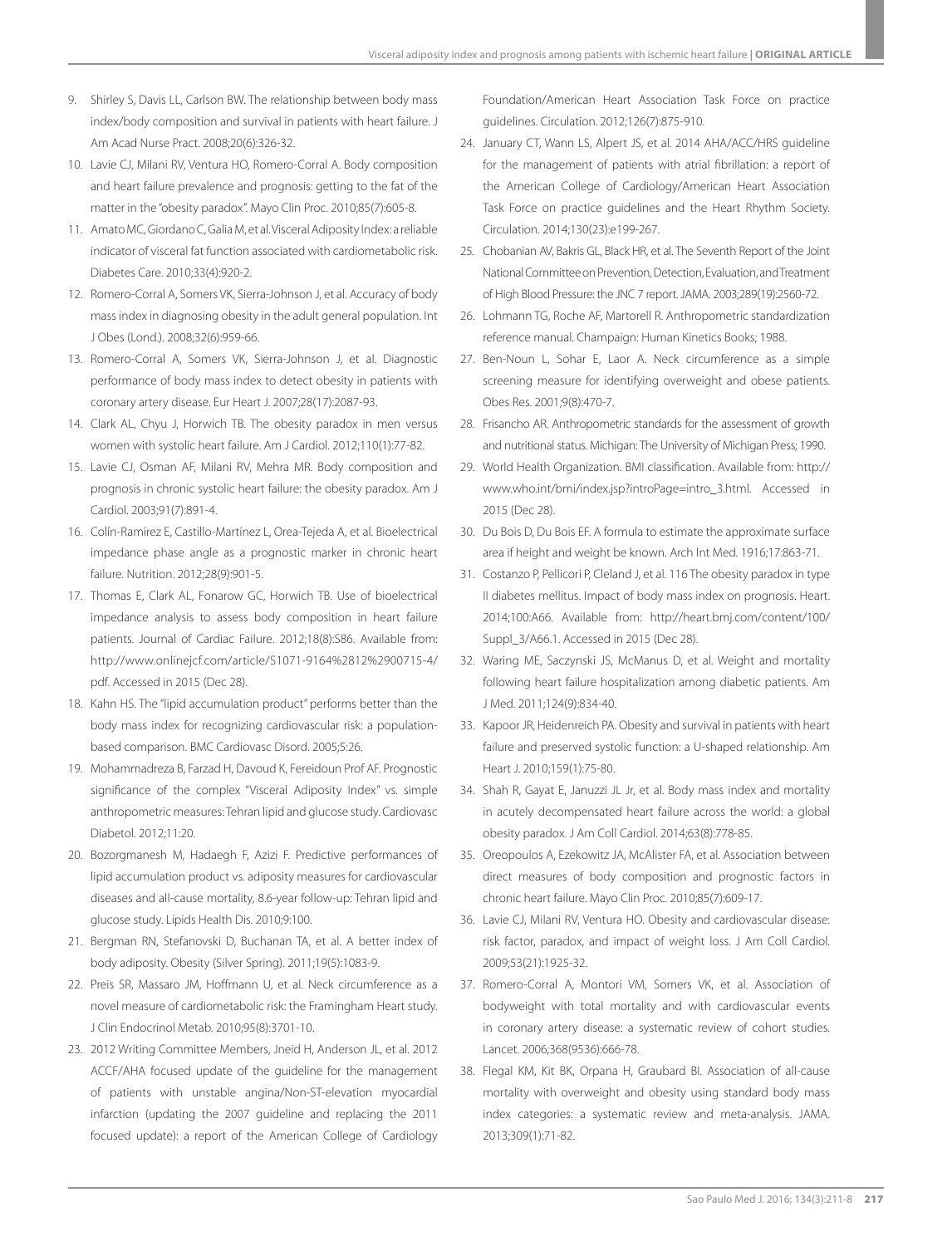- 9. Shirley S, Davis LL, Carlson BW. The relationship between body mass index/body composition and survival in patients with heart failure. J Am Acad Nurse Pract. 2008;20(6):326-32.
- 10. Lavie CJ, Milani RV, Ventura HO, Romero-Corral A. Body composition and heart failure prevalence and prognosis: getting to the fat of the matter in the "obesity paradox". Mayo Clin Proc. 2010;85(7):605-8.
- 11. Amato MC, Giordano C, Galia M, et al. Visceral Adiposity Index: a reliable indicator of visceral fat function associated with cardiometabolic risk. Diabetes Care. 2010;33(4):920-2.
- 12. Romero-Corral A, Somers VK, Sierra-Johnson J, et al. Accuracy of body mass index in diagnosing obesity in the adult general population. Int J Obes (Lond.). 2008;32(6):959-66.
- 13. Romero-Corral A, Somers VK, Sierra-Johnson J, et al. Diagnostic performance of body mass index to detect obesity in patients with coronary artery disease. Eur Heart J. 2007;28(17):2087-93.
- 14. Clark AL, Chyu J, Horwich TB. The obesity paradox in men versus women with systolic heart failure. Am J Cardiol. 2012;110(1):77-82.
- 15. Lavie CJ, Osman AF, Milani RV, Mehra MR. Body composition and prognosis in chronic systolic heart failure: the obesity paradox. Am J Cardiol. 2003;91(7):891-4.
- 16. Colín-Ramírez E, Castillo-Martínez L, Orea-Tejeda A, et al. Bioelectrical impedance phase angle as a prognostic marker in chronic heart failure. Nutrition. 2012;28(9):901-5.
- 17. Thomas E, Clark AL, Fonarow GC, Horwich TB. Use of bioelectrical impedance analysis to assess body composition in heart failure patients. Journal of Cardiac Failure. 2012;18(8):S86. Available from: http://www.onlinejcf.com/article/S1071-9164%2812%2900715-4/ pdf. Accessed in 2015 (Dec 28).
- 18. Kahn HS. The "lipid accumulation product" performs better than the body mass index for recognizing cardiovascular risk: a populationbased comparison. BMC Cardiovasc Disord. 2005;5:26.
- 19. Mohammadreza B, Farzad H, Davoud K, Fereidoun Prof AF. Prognostic significance of the complex "Visceral Adiposity Index" vs. simple anthropometric measures: Tehran lipid and glucose study. Cardiovasc Diabetol. 2012;11:20.
- 20. Bozorgmanesh M, Hadaegh F, Azizi F. Predictive performances of lipid accumulation product vs. adiposity measures for cardiovascular diseases and all-cause mortality, 8.6-year follow-up: Tehran lipid and glucose study. Lipids Health Dis. 2010;9:100.
- 21. Bergman RN, Stefanovski D, Buchanan TA, et al. A better index of body adiposity. Obesity (Silver Spring). 2011;19(5):1083-9.
- 22. Preis SR, Massaro JM, Hoffmann U, et al. Neck circumference as a novel measure of cardiometabolic risk: the Framingham Heart study. J Clin Endocrinol Metab. 2010;95(8):3701-10.
- 23. 2012 Writing Committee Members, Jneid H, Anderson JL, et al. 2012 ACCF/AHA focused update of the guideline for the management of patients with unstable angina/Non-ST-elevation myocardial infarction (updating the 2007 guideline and replacing the 2011 focused update): a report of the American College of Cardiology

Foundation/American Heart Association Task Force on practice guidelines. Circulation. 2012;126(7):875-910.

- 24. January CT, Wann LS, Alpert JS, et al. 2014 AHA/ACC/HRS guideline for the management of patients with atrial fibrillation: a report of the American College of Cardiology/American Heart Association Task Force on practice guidelines and the Heart Rhythm Society. Circulation. 2014;130(23):e199-267.
- 25. Chobanian AV, Bakris GL, Black HR, et al. The Seventh Report of the Joint National Committee on Prevention, Detection, Evaluation, and Treatment of High Blood Pressure: the JNC 7 report. JAMA. 2003;289(19):2560-72.
- 26. Lohmann TG, Roche AF, Martorell R. Anthropometric standardization reference manual. Champaign: Human Kinetics Books; 1988.
- 27. Ben-Noun L, Sohar E, Laor A. Neck circumference as a simple screening measure for identifying overweight and obese patients. Obes Res. 2001;9(8):470-7.
- 28. Frisancho AR. Anthropometric standards for the assessment of growth and nutritional status. Michigan: The University of Michigan Press; 1990.
- 29. World Health Organization. BMI classification. Available from: http:// www.who.int/bmi/index.jsp?introPage=intro\_3.html. Accessed in 2015 (Dec 28).
- 30. Du Bois D, Du Bois EF. A formula to estimate the approximate surface area if height and weight be known. Arch Int Med. 1916;17:863-71.
- 31. Costanzo P, Pellicori P, Cleland J, et al. 116 The obesity paradox in type II diabetes mellitus. Impact of body mass index on prognosis. Heart. 2014;100:A66. Available from: http://heart.bmj.com/content/100/ Suppl\_3/A66.1. Accessed in 2015 (Dec 28).
- 32. Waring ME, Saczynski JS, McManus D, et al. Weight and mortality following heart failure hospitalization among diabetic patients. Am J Med. 2011;124(9):834-40.
- 33. Kapoor JR, Heidenreich PA. Obesity and survival in patients with heart failure and preserved systolic function: a U-shaped relationship. Am Heart J. 2010;159(1):75-80.
- 34. Shah R, Gayat E, Januzzi JL Jr, et al. Body mass index and mortality in acutely decompensated heart failure across the world: a global obesity paradox. J Am Coll Cardiol. 2014;63(8):778-85.
- 35. Oreopoulos A, Ezekowitz JA, McAlister FA, et al. Association between direct measures of body composition and prognostic factors in chronic heart failure. Mayo Clin Proc. 2010;85(7):609-17.
- 36. Lavie CJ, Milani RV, Ventura HO. Obesity and cardiovascular disease: risk factor, paradox, and impact of weight loss. J Am Coll Cardiol. 2009;53(21):1925-32.
- 37. Romero-Corral A, Montori VM, Somers VK, et al. Association of bodyweight with total mortality and with cardiovascular events in coronary artery disease: a systematic review of cohort studies. Lancet. 2006;368(9536):666-78.
- 38. Flegal KM, Kit BK, Orpana H, Graubard BI. Association of all-cause mortality with overweight and obesity using standard body mass index categories: a systematic review and meta-analysis. JAMA. 2013;309(1):71-82.